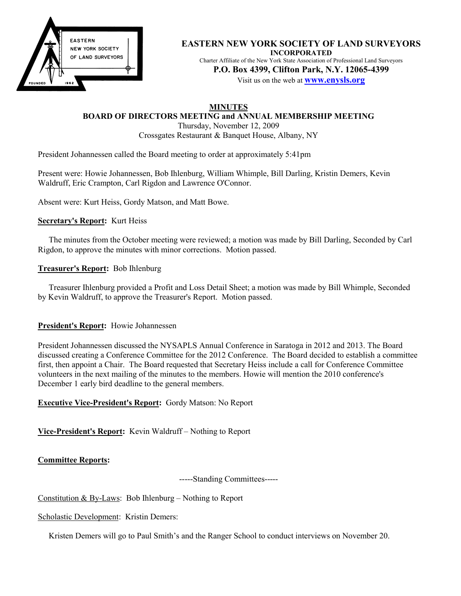

**EASTERN NEW YORK SOCIETY OF LAND SURVEYORS INCORPORATED** Charter Affiliate of the New York State Association of Professional Land Surveyors **P.O. Box 4399, Clifton Park, N.Y. 12065-4399**

Visit us on the web at **www.enysls.org**

# **MINUTES**

**BOARD OF DIRECTORS MEETING and ANNUAL MEMBERSHIP MEETING**

Thursday, November 12, 2009 Crossgates Restaurant & Banquet House, Albany, NY

President Johannessen called the Board meeting to order at approximately 5:41pm

Present were: Howie Johannessen, Bob Ihlenburg, William Whimple, Bill Darling, Kristin Demers, Kevin Waldruff, Eric Crampton, Carl Rigdon and Lawrence O'Connor.

Absent were: Kurt Heiss, Gordy Matson, and Matt Bowe.

### **Secretary's Report:** Kurt Heiss

The minutes from the October meeting were reviewed; a motion was made by Bill Darling, Seconded by Carl Rigdon, to approve the minutes with minor corrections. Motion passed.

### **Treasurer's Report:** Bob Ihlenburg

Treasurer Ihlenburg provided a Profit and Loss Detail Sheet; a motion was made by Bill Whimple, Seconded by Kevin Waldruff, to approve the Treasurer's Report. Motion passed.

### **President's Report:** Howie Johannessen

President Johannessen discussed the NYSAPLS Annual Conference in Saratoga in 2012 and 2013. The Board discussed creating a Conference Committee for the 2012 Conference. The Board decided to establish a committee first, then appoint a Chair. The Board requested that Secretary Heiss include a call for Conference Committee volunteers in the next mailing of the minutes to the members. Howie will mention the 2010 conference's December 1 early bird deadline to the general members.

## **Executive Vice-President's Report:** Gordy Matson: No Report

**Vice-President's Report:** Kevin Waldruff – Nothing to Report

**Committee Reports:**

-----Standing Committees-----

Constitution & By-Laws: Bob Ihlenburg – Nothing to Report

Scholastic Development: Kristin Demers:

Kristen Demers will go to Paul Smith's and the Ranger School to conduct interviews on November 20.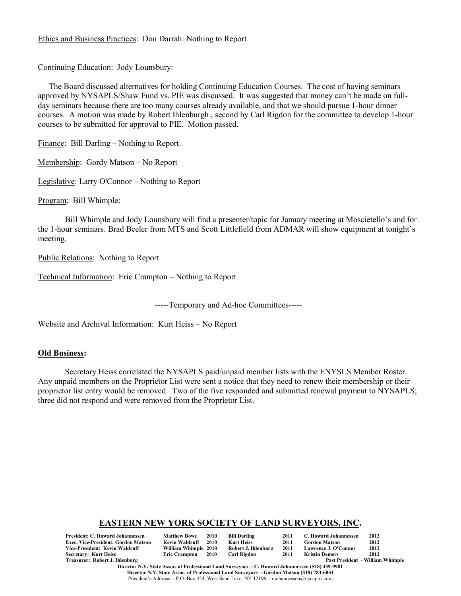### Ethics and Business Practices: Don Darrah: Nothing to Report

Continuing Education: Jody Lounsbury:

The Board discussed alternatives for holding Continuing Education Courses. The cost of having seminars approved by NYSAPLS/Shaw Fund vs. PIE was discussed. It was suggested that money can't be made on fullday seminars because there are too many courses already available, and that we should pursue 1-hour dinner courses. A motion was made by Robert Ihlenburgh , second by Carl Rigdon for the committee to develop 1-hour courses to be submitted for approval to PIE. Motion passed.

Finance: Bill Darling – Nothing to Report.

Membership: Gordy Matson – No Report

Legislative: Larry O'Connor – Nothing to Report

Program: Bill Whimple:

Bill Whimple and Jody Lounsbury will find a presenter/topic for January meeting at Moscietello's and for the 1-hour seminars. Brad Beeler from MTS and Scott Littlefield from ADMAR will show equipment at tonight's meeting.

Public Relations: Nothing to Report

Technical Information: Eric Crampton – Nothing to Report

-----Temporary and Ad-hoc Committees-----

Website and Archival Information: Kurt Heiss – No Report

#### **Old Business:**

Secretary Heiss correlated the NYSAPLS paid/unpaid member lists with the ENYSLS Member Roster. Any unpaid members on the Proprietor List were sent a notice that they need to renew their membership or their proprietor list entry would be removed. Two of the five responded and submitted renewal payment to NYSAPLS; three did not respond and were removed from the Proprietor List.

# **EASTERN NEW YORK SOCIETY OF LAND SURVEYORS, INC.**

| <b>President: C. Howard Johannessen</b>    | <b>Matthew Bowe</b>  | 2010 | <b>Bill Darling</b> | 2011 | C. Howard Johannessen | 2012                             |
|--------------------------------------------|----------------------|------|---------------------|------|-----------------------|----------------------------------|
| <b>Exec. Vice-President: Gordon Matson</b> | Kevin Waldruff       | 2010 | Kurt Heiss          | 2011 | Gordon Matson         | 2012                             |
| Vice-President: Kevin Waldruff             | William Whimple 2010 |      | Robert J. Ihlenburg | 2011 | Lawrence J. O'Connor  | 2012                             |
| Secretary: Kurt Heiss                      | Eric Crampton 2010   |      | Carl Rigdon         | 2011 | Kristin Demers        | 2012                             |
| Treasurer: Robert J. Ihlenburg             |                      |      |                     |      |                       | Past President - William Whimple |

**Director N.Y. State Assoc. of Professional Land Surveyors - C. Howard Johannessen (518) 439-9981 Director N.Y. State Assoc. of Professional Land Surveyors - Gordon Matson (518) 783-6054** President's Address - P.O. Box 454, West Sand Lake, NY 12196 - cjohannessen@nycap.rr.com